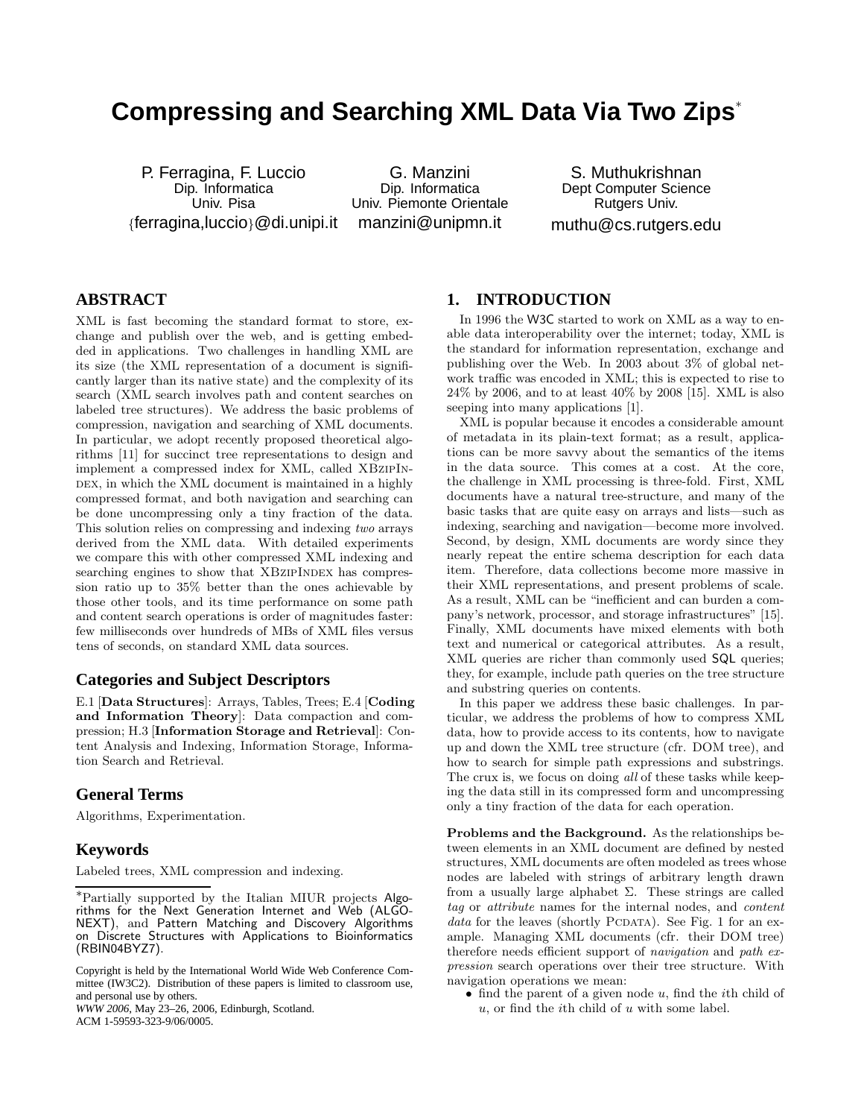# **Compressing and Searching XML Data Via Two Zips**<sup>∗</sup>

P. Ferragina, F. Luccio Dip. Informatica Univ. Pisa {ferragina,luccio}@di.unipi.it

G. Manzini Dip. Informatica Univ. Piemonte Orientale manzini@unipmn.it

S. Muthukrishnan Dept Computer Science Rutgers Univ. muthu@cs.rutgers.edu

# **ABSTRACT**

XML is fast becoming the standard format to store, exchange and publish over the web, and is getting embedded in applications. Two challenges in handling XML are its size (the XML representation of a document is significantly larger than its native state) and the complexity of its search (XML search involves path and content searches on labeled tree structures). We address the basic problems of compression, navigation and searching of XML documents. In particular, we adopt recently proposed theoretical algorithms [11] for succinct tree representations to design and implement a compressed index for XML, called XBzipIn-DEX, in which the XML document is maintained in a highly compressed format, and both navigation and searching can be done uncompressing only a tiny fraction of the data. This solution relies on compressing and indexing two arrays derived from the XML data. With detailed experiments we compare this with other compressed XML indexing and searching engines to show that XBzIPINDEX has compression ratio up to 35% better than the ones achievable by those other tools, and its time performance on some path and content search operations is order of magnitudes faster: few milliseconds over hundreds of MBs of XML files versus tens of seconds, on standard XML data sources.

## **Categories and Subject Descriptors**

E.1 [Data Structures]: Arrays, Tables, Trees; E.4 [Coding and Information Theory]: Data compaction and compression; H.3 [Information Storage and Retrieval]: Content Analysis and Indexing, Information Storage, Information Search and Retrieval.

#### **General Terms**

Algorithms, Experimentation.

# **Keywords**

Labeled trees, XML compression and indexing.

*WWW 2006*, May 23–26, 2006, Edinburgh, Scotland. ACM 1-59593-323-9/06/0005.

# **1. INTRODUCTION**

In 1996 the W3C started to work on XML as a way to enable data interoperability over the internet; today, XML is the standard for information representation, exchange and publishing over the Web. In 2003 about 3% of global network traffic was encoded in XML; this is expected to rise to 24% by 2006, and to at least 40% by 2008 [15]. XML is also seeping into many applications [1].

XML is popular because it encodes a considerable amount of metadata in its plain-text format; as a result, applications can be more savvy about the semantics of the items in the data source. This comes at a cost. At the core, the challenge in XML processing is three-fold. First, XML documents have a natural tree-structure, and many of the basic tasks that are quite easy on arrays and lists—such as indexing, searching and navigation—become more involved. Second, by design, XML documents are wordy since they nearly repeat the entire schema description for each data item. Therefore, data collections become more massive in their XML representations, and present problems of scale. As a result, XML can be "inefficient and can burden a company's network, processor, and storage infrastructures" [15]. Finally, XML documents have mixed elements with both text and numerical or categorical attributes. As a result, XML queries are richer than commonly used SQL queries; they, for example, include path queries on the tree structure and substring queries on contents.

In this paper we address these basic challenges. In particular, we address the problems of how to compress XML data, how to provide access to its contents, how to navigate up and down the XML tree structure (cfr. DOM tree), and how to search for simple path expressions and substrings. The crux is, we focus on doing all of these tasks while keeping the data still in its compressed form and uncompressing only a tiny fraction of the data for each operation.

Problems and the Background. As the relationships between elements in an XML document are defined by nested structures, XML documents are often modeled as trees whose nodes are labeled with strings of arbitrary length drawn from a usually large alphabet  $\Sigma$ . These strings are called tag or attribute names for the internal nodes, and content  $data$  for the leaves (shortly PCDATA). See Fig. 1 for an example. Managing XML documents (cfr. their DOM tree) therefore needs efficient support of navigation and path expression search operations over their tree structure. With navigation operations we mean:

 $\bullet$  find the parent of a given node u, find the *i*th child of  $u$ , or find the *i*th child of  $u$  with some label.

<sup>∗</sup>Partially supported by the Italian MIUR projects Algorithms for the Next Generation Internet and Web (ALGO-NEXT), and Pattern Matching and Discovery Algorithms on Discrete Structures with Applications to Bioinformatics (RBIN04BYZ7).

Copyright is held by the International World Wide Web Conference Committee (IW3C2). Distribution of these papers is limited to classroom use, and personal use by others.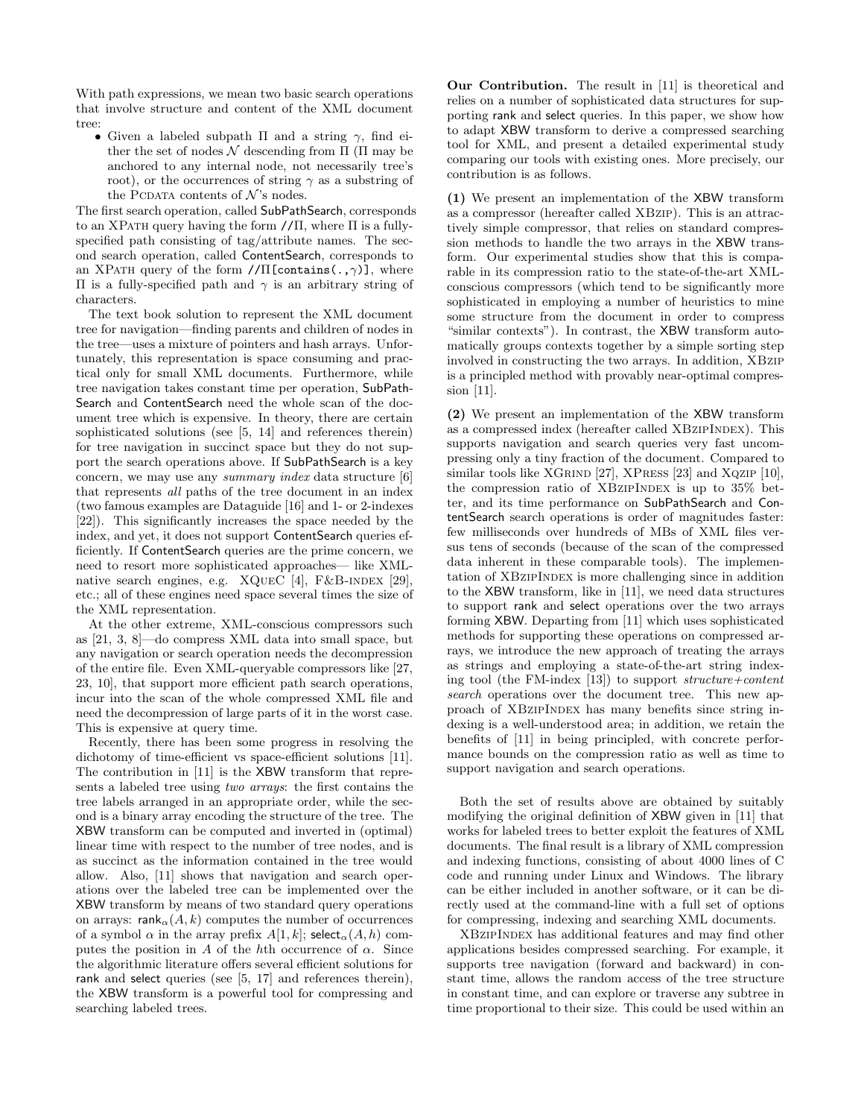With path expressions, we mean two basic search operations that involve structure and content of the XML document tree:

• Given a labeled subpath  $\Pi$  and a string  $\gamma$ , find either the set of nodes  $\mathcal N$  descending from  $\Pi$  ( $\Pi$  may be anchored to any internal node, not necessarily tree's root), or the occurrences of string  $\gamma$  as a substring of the PCDATA contents of  $\mathcal{N}$ 's nodes.

The first search operation, called SubPathSearch, corresponds to an XPATH query having the form  $//\Pi$ , where  $\Pi$  is a fullyspecified path consisting of tag/attribute names. The second search operation, called ContentSearch, corresponds to an XPATH query of the form //Π[contains(., $\gamma$ )], where Π is a fully-specified path and γ is an arbitrary string of characters.

The text book solution to represent the XML document tree for navigation—finding parents and children of nodes in the tree—uses a mixture of pointers and hash arrays. Unfortunately, this representation is space consuming and practical only for small XML documents. Furthermore, while tree navigation takes constant time per operation, SubPath-Search and ContentSearch need the whole scan of the document tree which is expensive. In theory, there are certain sophisticated solutions (see [5, 14] and references therein) for tree navigation in succinct space but they do not support the search operations above. If SubPathSearch is a key concern, we may use any summary index data structure [6] that represents all paths of the tree document in an index (two famous examples are Dataguide [16] and 1- or 2-indexes [22]). This significantly increases the space needed by the index, and yet, it does not support ContentSearch queries efficiently. If ContentSearch queries are the prime concern, we need to resort more sophisticated approaches— like XMLnative search engines, e.g. XQUEC [4],  $F\&B$ -INDEX [29], etc.; all of these engines need space several times the size of the XML representation.

At the other extreme, XML-conscious compressors such as [21, 3, 8]—do compress XML data into small space, but any navigation or search operation needs the decompression of the entire file. Even XML-queryable compressors like [27, 23, 10], that support more efficient path search operations, incur into the scan of the whole compressed XML file and need the decompression of large parts of it in the worst case. This is expensive at query time.

Recently, there has been some progress in resolving the dichotomy of time-efficient vs space-efficient solutions [11]. The contribution in [11] is the XBW transform that represents a labeled tree using two arrays: the first contains the tree labels arranged in an appropriate order, while the second is a binary array encoding the structure of the tree. The XBW transform can be computed and inverted in (optimal) linear time with respect to the number of tree nodes, and is as succinct as the information contained in the tree would allow. Also, [11] shows that navigation and search operations over the labeled tree can be implemented over the XBW transform by means of two standard query operations on arrays:  $\mathsf{rank}_{\alpha}(A, k)$  computes the number of occurrences of a symbol  $\alpha$  in the array prefix  $A[1, k]$ ; select<sub> $\alpha$ </sub> $(A, h)$  computes the position in A of the hth occurrence of  $\alpha$ . Since the algorithmic literature offers several efficient solutions for rank and select queries (see [5, 17] and references therein), the XBW transform is a powerful tool for compressing and searching labeled trees.

Our Contribution. The result in [11] is theoretical and relies on a number of sophisticated data structures for supporting rank and select queries. In this paper, we show how to adapt XBW transform to derive a compressed searching tool for XML, and present a detailed experimental study comparing our tools with existing ones. More precisely, our contribution is as follows.

(1) We present an implementation of the XBW transform as a compressor (hereafter called XBzip). This is an attractively simple compressor, that relies on standard compression methods to handle the two arrays in the XBW transform. Our experimental studies show that this is comparable in its compression ratio to the state-of-the-art XMLconscious compressors (which tend to be significantly more sophisticated in employing a number of heuristics to mine some structure from the document in order to compress "similar contexts"). In contrast, the XBW transform automatically groups contexts together by a simple sorting step involved in constructing the two arrays. In addition, XBzip is a principled method with provably near-optimal compression [11].

(2) We present an implementation of the XBW transform as a compressed index (hereafter called XBzIPINDEX). This supports navigation and search queries very fast uncompressing only a tiny fraction of the document. Compared to similar tools like XGRIND [27], XPRESS [23] and XQZIP [10], the compression ratio of XBzIPINDEX is up to  $35\%$  better, and its time performance on SubPathSearch and ContentSearch search operations is order of magnitudes faster: few milliseconds over hundreds of MBs of XML files versus tens of seconds (because of the scan of the compressed data inherent in these comparable tools). The implementation of XBzIPINDEX is more challenging since in addition to the XBW transform, like in [11], we need data structures to support rank and select operations over the two arrays forming XBW. Departing from [11] which uses sophisticated methods for supporting these operations on compressed arrays, we introduce the new approach of treating the arrays as strings and employing a state-of-the-art string indexing tool (the FM-index [13]) to support  $structure + content$ search operations over the document tree. This new approach of XBzIPINDEX has many benefits since string indexing is a well-understood area; in addition, we retain the benefits of [11] in being principled, with concrete performance bounds on the compression ratio as well as time to support navigation and search operations.

Both the set of results above are obtained by suitably modifying the original definition of XBW given in [11] that works for labeled trees to better exploit the features of XML documents. The final result is a library of XML compression and indexing functions, consisting of about 4000 lines of C code and running under Linux and Windows. The library can be either included in another software, or it can be directly used at the command-line with a full set of options for compressing, indexing and searching XML documents.

XBzipIndex has additional features and may find other applications besides compressed searching. For example, it supports tree navigation (forward and backward) in constant time, allows the random access of the tree structure in constant time, and can explore or traverse any subtree in time proportional to their size. This could be used within an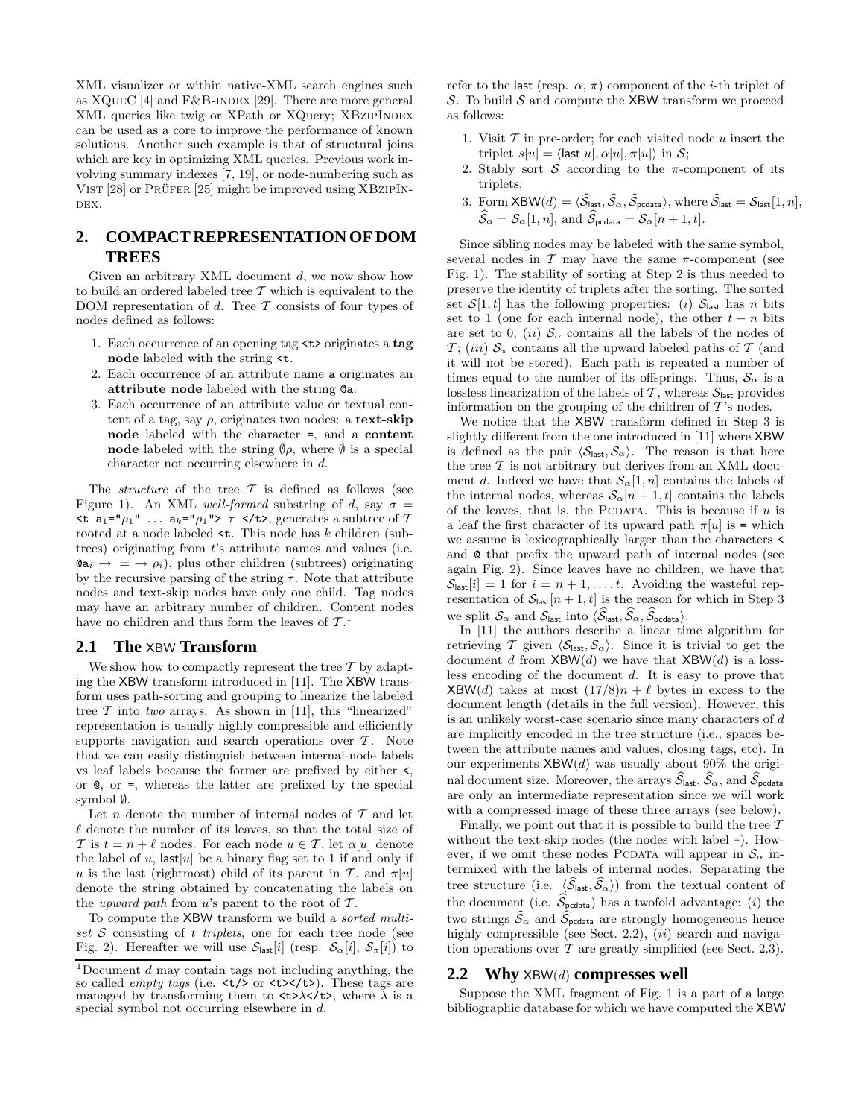XML visualizer or within native-XML search engines such as  $XQUEC$  [4] and  $F\&B$ -INDEX [29]. There are more general XML queries like twig or XPath or XQuery; XBZIPINDEX can be used as a core to improve the performance of known solutions. Another such example is that of structural joins which are key in optimizing XML queries. Previous work involving summary indexes [7, 19], or node-numbering such as VIST  $[28]$  or Prüffer  $[25]$  might be improved using XBzIPIN-DEX.

# **2. COMPACT REPRESENTATION OF DOM TREES**

Given an arbitrary XML document d, we now show how to build an ordered labeled tree  $T$  which is equivalent to the DOM representation of d. Tree  $\mathcal T$  consists of four types of nodes defined as follows:

- 1. Each occurrence of an opening tag <t> originates a tag node labeled with the string <t.
- 2. Each occurrence of an attribute name a originates an attribute node labeled with the string @a.
- 3. Each occurrence of an attribute value or textual content of a tag, say  $\rho$ , originates two nodes: a text-skip node labeled with the character =, and a content node labeled with the string  $\emptyset \rho$ , where  $\emptyset$  is a special character not occurring elsewhere in d.

The *structure* of the tree  $T$  is defined as follows (see Figure 1). An XML well-formed substring of d, say  $\sigma =$  $\langle \texttt{t} \texttt{a}_1 = " \rho_1" \dots \texttt{a}_k = " \rho_1" \rangle \tau \langle \texttt{t} \rangle$ , generates a subtree of  $\mathcal T$ rooted at a node labeled  $\lt t$ . This node has k children (subtrees) originating from t's attribute names and values (i.e.  $\mathbf{a}_i \rightarrow \mathbf{a}_i \rightarrow \rho_i$ , plus other children (subtrees) originating by the recursive parsing of the string  $\tau$ . Note that attribute nodes and text-skip nodes have only one child. Tag nodes may have an arbitrary number of children. Content nodes have no children and thus form the leaves of  $\mathcal{T}^{1}$ .

#### **2.1 The** XBW **Transform**

We show how to compactly represent the tree  $\mathcal T$  by adapting the XBW transform introduced in [11]. The XBW transform uses path-sorting and grouping to linearize the labeled tree  $\mathcal T$  into two arrays. As shown in [11], this "linearized" representation is usually highly compressible and efficiently supports navigation and search operations over  $\mathcal T$ . Note that we can easily distinguish between internal-node labels vs leaf labels because the former are prefixed by either <, or @, or =, whereas the latter are prefixed by the special symbol ∅.

Let  $n$  denote the number of internal nodes of  $T$  and let  $\ell$  denote the number of its leaves, so that the total size of T is  $t = n + \ell$  nodes. For each node  $u \in \mathcal{T}$ , let  $\alpha[u]$  denote the label of u,  $\textsf{last}[u]$  be a binary flag set to 1 if and only if u is the last (rightmost) child of its parent in T, and  $\pi[u]$ denote the string obtained by concatenating the labels on the upward path from u's parent to the root of  $\mathcal{T}$ .

To compute the XBW transform we build a sorted multiset  $S$  consisting of  $t$  triplets, one for each tree node (see Fig. 2). Hereafter we will use  $S_{\text{last}}[i]$  (resp.  $S_{\alpha}[i], S_{\pi}[i]$ ) to refer to the last (resp.  $\alpha$ ,  $\pi$ ) component of the *i*-th triplet of S. To build  $S$  and compute the XBW transform we proceed as follows:

- 1. Visit  $\mathcal T$  in pre-order; for each visited node u insert the triplet  $s[u] = \langle \textsf{last}[u], \alpha[u], \pi[u] \rangle$  in S;
- 2. Stably sort S according to the  $\pi$ -component of its triplets;
- 3. Form  $\mathsf{XBW}(d) = \langle \widehat{\mathcal{S}}_{\mathsf{last}}, \widehat{\mathcal{S}}_{\alpha}, \widehat{\mathcal{S}}_{\mathsf{pcdata}} \rangle$ , where  $\widehat{\mathcal{S}}_{\mathsf{last}} = \mathcal{S}_{\mathsf{last}}[1, n],$  $\widehat{S}_{\alpha} = S_{\alpha}[1, n]$ , and  $\widehat{S}_{\text{ncdata}} = S_{\alpha}[n+1, t]$ .

Since sibling nodes may be labeled with the same symbol, several nodes in  $\mathcal T$  may have the same  $\pi$ -component (see Fig. 1). The stability of sorting at Step 2 is thus needed to preserve the identity of triplets after the sorting. The sorted set  $S[1, t]$  has the following properties: (i)  $S<sub>last</sub>$  has n bits set to 1 (one for each internal node), the other  $t - n$  bits are set to 0; (ii)  $S_\alpha$  contains all the labels of the nodes of  $\mathcal{T}$ ; (iii)  $\mathcal{S}_{\pi}$  contains all the upward labeled paths of  $\mathcal{T}$  (and it will not be stored). Each path is repeated a number of times equal to the number of its offsprings. Thus,  $S_{\alpha}$  is a lossless linearization of the labels of  $\mathcal{T}$ , whereas  $\mathcal{S}_{\text{last}}$  provides information on the grouping of the children of  $T$ 's nodes.

We notice that the XBW transform defined in Step 3 is slightly different from the one introduced in [11] where XBW is defined as the pair  $\langle S_{\text{last}}, S_{\alpha} \rangle$ . The reason is that here the tree  ${\mathcal T}$  is not arbitrary but derives from an XML document d. Indeed we have that  $\mathcal{S}_{\alpha}[1,n]$  contains the labels of the internal nodes, whereas  $S_{\alpha}[n+1, t]$  contains the labels of the leaves, that is, the PCDATA. This is because if  $u$  is a leaf the first character of its upward path  $\pi[u]$  is = which we assume is lexicographically larger than the characters < and @ that prefix the upward path of internal nodes (see again Fig. 2). Since leaves have no children, we have that  $\mathcal{S}_{\text{last}}[i] = 1$  for  $i = n + 1, \ldots, t$ . Avoiding the wasteful representation of  $S<sub>last</sub>[n + 1, t]$  is the reason for which in Step 3 we split  $\mathcal{S}_{\alpha}$  and  $\mathcal{S}_{\text{last}}$  into  $\langle \hat{\mathcal{S}}_{\text{last}}, \hat{\mathcal{S}}_{\alpha}, \hat{\mathcal{S}}_{\text{pcdata}} \rangle$ .

In [11] the authors describe a linear time algorithm for retrieving T given  $\langle S_{\text{last}}, S_{\alpha} \rangle$ . Since it is trivial to get the document d from  $XBW(d)$  we have that  $XBW(d)$  is a lossless encoding of the document  $d$ . It is easy to prove that  $XBW(d)$  takes at most  $(17/8)n + \ell$  bytes in excess to the document length (details in the full version). However, this is an unlikely worst-case scenario since many characters of d are implicitly encoded in the tree structure (i.e., spaces between the attribute names and values, closing tags, etc). In our experiments  $XBW(d)$  was usually about 90% the original document size. Moreover, the arrays  $\widehat{S}_{\text{last}}, \widehat{S}_{\alpha}$ , and  $\widehat{S}_{\text{pcdata}}$ are only an intermediate representation since we will work with a compressed image of these three arrays (see below).

Finally, we point out that it is possible to build the tree  $\mathcal T$ without the text-skip nodes (the nodes with label =). However, if we omit these nodes PCDATA will appear in  $\mathcal{S}_{\alpha}$  intermixed with the labels of internal nodes. Separating the tree structure (i.e.  $\langle \hat{S}_{\text{last}}, \hat{S}_{\alpha} \rangle$ ) from the textual content of the document (i.e.  $\hat{S}_{\text{pcdata}}$ ) has a twofold advantage: (*i*) the two strings  $\widehat{S}_{\alpha}$  and  $\widehat{S}_{\text{pcdata}}$  are strongly homogeneous hence highly compressible (see Sect. 2.2),  $(ii)$  search and navigation operations over  $T$  are greatly simplified (see Sect. 2.3).

#### **2.2 Why** XBW(d) **compresses well**

Suppose the XML fragment of Fig. 1 is a part of a large bibliographic database for which we have computed the XBW

<sup>&</sup>lt;sup>1</sup>Document  $d$  may contain tags not including anything, the so called *empty tags* (i.e.  $\langle t \rangle$  or  $\langle t \rangle$  t). These tags are managed by transforming them to  $\langle t \rangle \lambda \langle t \rangle$ , where  $\lambda$  is a special symbol not occurring elsewhere in d.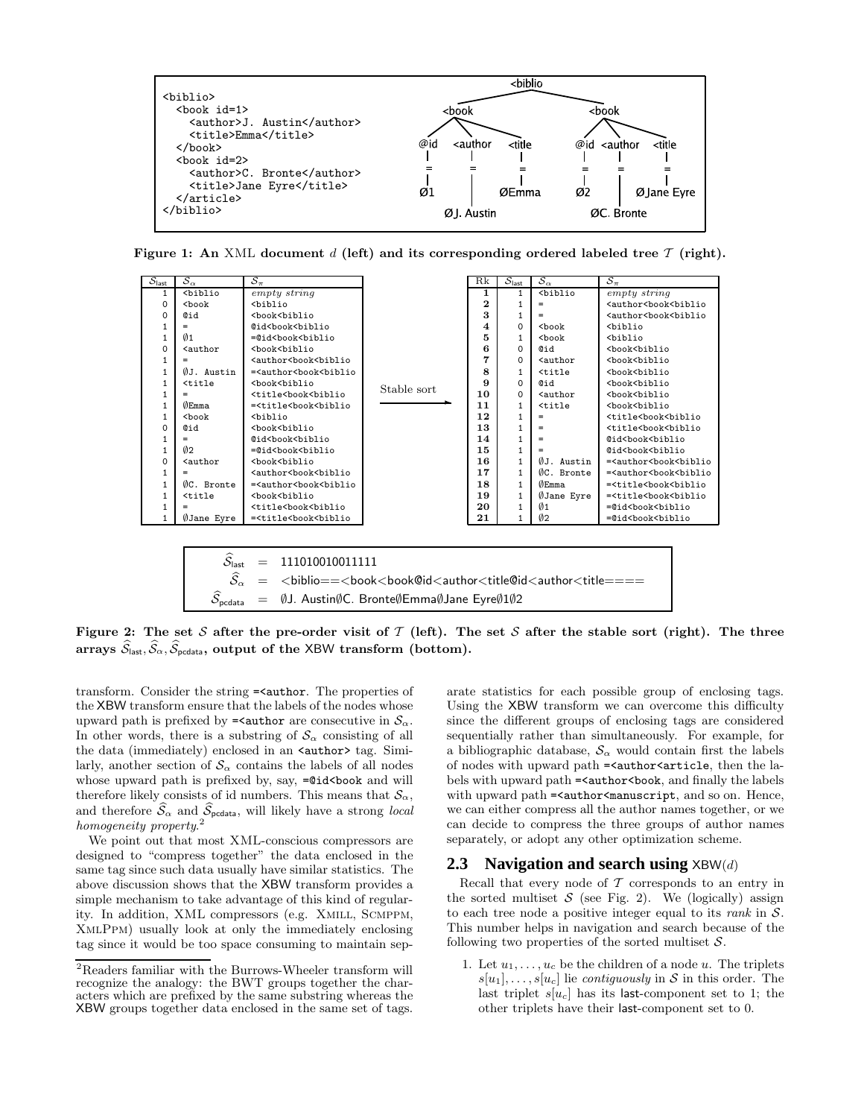

Figure 1: An XML document d (left) and its corresponding ordered labeled tree  $\mathcal{T}$  (right).

| $S_{\text{last}}$                                          | $\mathcal{S}_{\alpha}$                                                                                                                                                                                                   | $S_{\pi}$                                                                                                                                                                                |             | Rk             | $S_{\text{last}}$ | $S_{\alpha}$                                                          | $S_{\pi}$                                           |  |  |
|------------------------------------------------------------|--------------------------------------------------------------------------------------------------------------------------------------------------------------------------------------------------------------------------|------------------------------------------------------------------------------------------------------------------------------------------------------------------------------------------|-------------|----------------|-------------------|-----------------------------------------------------------------------|-----------------------------------------------------|--|--|
| $\mathbf{1}$                                               | <biblio< td=""><td>empty string</td><td></td><td>1</td><td><math>\mathbf{1}</math></td><td><biblio< td=""><td>empty string</td></biblio<></td></biblio<>                                                                 | empty string                                                                                                                                                                             |             | 1              | $\mathbf{1}$      | <biblio< td=""><td>empty string</td></biblio<>                        | empty string                                        |  |  |
| $\Omega$                                                   | <book< td=""><td><biblio< td=""><td></td><td><math>\overline{2}</math></td><td>1</td><td><math>=</math></td><td><author<book<blb1io< td=""></author<book<blb1io<></td></biblio<></td></book<>                            | <biblio< td=""><td></td><td><math>\overline{2}</math></td><td>1</td><td><math>=</math></td><td><author<book<blb1io< td=""></author<book<blb1io<></td></biblio<>                          |             | $\overline{2}$ | 1                 | $=$                                                                   | <author<book<blb1io< td=""></author<book<blb1io<>   |  |  |
| 0                                                          | <b>@id</b>                                                                                                                                                                                                               | <book<biblio< td=""><td></td><td>3</td><td><math>\mathbf{1}</math></td><td><math>=</math></td><td><author<book<biblio< td=""></author<book<biblio<></td></book<biblio<>                  |             | 3              | $\mathbf{1}$      | $=$                                                                   | <author<book<biblio< td=""></author<book<biblio<>   |  |  |
|                                                            | $=$                                                                                                                                                                                                                      | @id <book<biblio< td=""><td></td><td>4</td><td><math>\Omega</math></td><td><book< td=""><td><biblio< td=""></biblio<></td></book<></td></book<biblio<>                                   |             | 4              | $\Omega$          | <book< td=""><td><biblio< td=""></biblio<></td></book<>               | <biblio< td=""></biblio<>                           |  |  |
| 1                                                          | 0 <sub>1</sub>                                                                                                                                                                                                           | =@id <book<biblio< td=""><td></td><td>5</td><td>1</td><td><book< td=""><td><biblio< td=""></biblio<></td></book<></td></book<biblio<>                                                    |             | 5              | 1                 | <book< td=""><td><biblio< td=""></biblio<></td></book<>               | <biblio< td=""></biblio<>                           |  |  |
| 0                                                          | <author< td=""><td><book<biblio< td=""><td></td><td>6</td><td>0</td><td>0id</td><td><book<biblio< td=""></book<biblio<></td></book<biblio<></td></author<>                                                               | <book<biblio< td=""><td></td><td>6</td><td>0</td><td>0id</td><td><book<biblio< td=""></book<biblio<></td></book<biblio<>                                                                 |             | 6              | 0                 | 0id                                                                   | <book<biblio< td=""></book<biblio<>                 |  |  |
| 1                                                          | $=$                                                                                                                                                                                                                      | <author<book<br></author<book<br> biblio                                                                                                                                                 |             | 7              | $\Omega$          | <author< td=""><td><book<biblio< td=""></book<biblio<></td></author<> | <book<biblio< td=""></book<biblio<>                 |  |  |
|                                                            | 0J. Austin                                                                                                                                                                                                               | = <author<book<biblio< td=""><td></td><td>8</td><td><math>\mathbf{1}</math></td><td><title< td=""><td><book<biblio< td=""></book<biblio<></td></title<></td></author<book<biblio<>       |             | 8              | $\mathbf{1}$      | <title< td=""><td><book<biblio< td=""></book<biblio<></td></title<>   | <book<biblio< td=""></book<biblio<>                 |  |  |
| 1                                                          | <title< td=""><td><book<biblio< td=""><td></td><td>9</td><td><math>\Omega</math></td><td>0id</td><td><book<biblio< td=""></book<biblio<></td></book<biblio<></td></title<>                                               | <book<biblio< td=""><td></td><td>9</td><td><math>\Omega</math></td><td>0id</td><td><book<biblio< td=""></book<biblio<></td></book<biblio<>                                               |             | 9              | $\Omega$          | 0id                                                                   | <book<biblio< td=""></book<biblio<>                 |  |  |
| $\mathbf{1}$                                               | $=$                                                                                                                                                                                                                      | <title<book<blbio< td=""><td>Stable sort</td><td>10</td><td><math>\Omega</math></td><td><author< td=""><td><book<biblio< td=""></book<biblio<></td></author<></td></title<book<blbio<>   | Stable sort | 10             | $\Omega$          | <author< td=""><td><book<biblio< td=""></book<biblio<></td></author<> | <book<biblio< td=""></book<biblio<>                 |  |  |
|                                                            | $\emptyset$ Emma                                                                                                                                                                                                         | = <title<book<biblio< td=""><td></td><td>11</td><td><math>\mathbf{1}</math></td><td><title< td=""><td><book<biblio< td=""></book<biblio<></td></title<></td></title<book<biblio<>        |             | 11             | $\mathbf{1}$      | <title< td=""><td><book<biblio< td=""></book<biblio<></td></title<>   | <book<biblio< td=""></book<biblio<>                 |  |  |
| 1                                                          | <book< td=""><td><biblio< td=""><td></td><td>12</td><td><math>\mathbf{1}</math></td><td><math>=</math></td><td><title<book<biblio< td=""></title<book<biblio<></td></biblio<></td></book<>                               | <biblio< td=""><td></td><td>12</td><td><math>\mathbf{1}</math></td><td><math>=</math></td><td><title<book<biblio< td=""></title<book<biblio<></td></biblio<>                             |             | 12             | $\mathbf{1}$      | $=$                                                                   | <title<book<biblio< td=""></title<book<biblio<>     |  |  |
| 0                                                          | <b>@id</b>                                                                                                                                                                                                               | <book<biblio< td=""><td></td><td>13</td><td><math>\mathbf{1}</math></td><td><math>=</math></td><td><title<book<biblio< td=""></title<book<biblio<></td></book<biblio<>                   |             | 13             | $\mathbf{1}$      | $=$                                                                   | <title<book<biblio< td=""></title<book<biblio<>     |  |  |
|                                                            | $=$                                                                                                                                                                                                                      | @id <book<biblio< td=""><td></td><td>14</td><td><math>\mathbf{1}</math></td><td><math>=</math></td><td>@id<book<biblio< td=""></book<biblio<></td></book<biblio<>                        |             | 14             | $\mathbf{1}$      | $=$                                                                   | @id <book<biblio< td=""></book<biblio<>             |  |  |
| 1                                                          | 02                                                                                                                                                                                                                       | =@id <book<biblio< td=""><td></td><td>15</td><td>1</td><td><math>=</math></td><td>@id<book<biblio< td=""></book<biblio<></td></book<biblio<>                                             |             | 15             | 1                 | $=$                                                                   | @id <book<biblio< td=""></book<biblio<>             |  |  |
| $\Omega$                                                   | <author< td=""><td><book<biblio< td=""><td></td><td>16</td><td><math>\mathbf{1}</math></td><td>ØJ. Austin</td><td>=<author<book<biblio< td=""></author<book<biblio<></td></book<biblio<></td></author<>                  | <book<biblio< td=""><td></td><td>16</td><td><math>\mathbf{1}</math></td><td>ØJ. Austin</td><td>=<author<book<biblio< td=""></author<book<biblio<></td></book<biblio<>                    |             | 16             | $\mathbf{1}$      | ØJ. Austin                                                            | = <author<book<biblio< td=""></author<book<biblio<> |  |  |
| $\mathbf{1}$                                               | $=$                                                                                                                                                                                                                      | <author<book<biblio< td=""><td></td><td>17</td><td><math>\mathbf{1}</math></td><td>ØC. Bronte</td><td>=<author<book<biblio< td=""></author<book<biblio<></td></author<book<biblio<>      |             | 17             | $\mathbf{1}$      | ØC. Bronte                                                            | = <author<book<biblio< td=""></author<book<biblio<> |  |  |
|                                                            | $0C.$ Bronte                                                                                                                                                                                                             | = <author<book<br></author<book<br> biblio                                                                                                                                               |             | 18             | $\mathbf{1}$      | $\emptyset$ Emma                                                      | = <title<book<biblio< td=""></title<book<biblio<>   |  |  |
| 1                                                          | <title< td=""><td><book<biblio< td=""><td></td><td>19</td><td><math>\mathbf{1}</math></td><td><math>\emptyset</math>Jane Eyre</td><td>=<title<book<biblio< td=""></title<book<biblio<></td></book<biblio<></td></title<> | <book<biblio< td=""><td></td><td>19</td><td><math>\mathbf{1}</math></td><td><math>\emptyset</math>Jane Eyre</td><td>=<title<book<biblio< td=""></title<book<biblio<></td></book<biblio<> |             | 19             | $\mathbf{1}$      | $\emptyset$ Jane Eyre                                                 | = <title<book<biblio< td=""></title<book<biblio<>   |  |  |
|                                                            | $=$                                                                                                                                                                                                                      | <title<book<biblio< td=""><td></td><td>20</td><td><math>\mathbf{1}</math></td><td><math>\emptyset</math>1</td><td>=@id<book<biblio< td=""></book<biblio<></td></title<book<biblio<>      |             | 20             | $\mathbf{1}$      | $\emptyset$ 1                                                         | =@id <book<biblio< td=""></book<biblio<>            |  |  |
| 1                                                          | $\emptyset$ Jane Eyre                                                                                                                                                                                                    | = <title<book<biblio< td=""><td></td><td>21</td><td><math>\mathbf{1}</math></td><td>02</td><td>=@id<book<biblio< td=""></book<biblio<></td></title<book<biblio<>                         |             | 21             | $\mathbf{1}$      | 02                                                                    | =@id <book<biblio< td=""></book<biblio<>            |  |  |
|                                                            |                                                                                                                                                                                                                          |                                                                                                                                                                                          |             |                |                   |                                                                       |                                                     |  |  |
|                                                            |                                                                                                                                                                                                                          |                                                                                                                                                                                          |             |                |                   |                                                                       |                                                     |  |  |
| $\widehat{\mathcal{S}}_{\mathsf{last}}$<br>111010010011111 |                                                                                                                                                                                                                          |                                                                                                                                                                                          |             |                |                   |                                                                       |                                                     |  |  |
|                                                            |                                                                                                                                                                                                                          |                                                                                                                                                                                          |             |                |                   |                                                                       |                                                     |  |  |
|                                                            | $\widehat{\mathcal{S}}_\alpha$<br>$<$ biblio $=$ = $<$ book $<$ book@id $<$ author $<$ title@id $<$ author $<$ title $=$ = $=$<br>$=$                                                                                    |                                                                                                                                                                                          |             |                |                   |                                                                       |                                                     |  |  |

Figure 2: The set S after the pre-order visit of T (left). The set S after the stable sort (right). The three arrays  $\widehat{S}_{\text{last}}, \widehat{S}_{\alpha}, \widehat{S}_{\text{pcdata}}$ , output of the XBW transform (bottom).

 $\widehat{\mathcal{S}}_{\text{pcdata}}$  = ØJ. AustinØC. BronteØEmmaØJane EyreØ1Ø2

transform. Consider the string =<author. The properties of the XBW transform ensure that the labels of the nodes whose upward path is prefixed by =<author are consecutive in  $\mathcal{S}_{\alpha}$ . In other words, there is a substring of  $\mathcal{S}_{\alpha}$  consisting of all the data (immediately) enclosed in an <author> tag. Similarly, another section of  $\mathcal{S}_{\alpha}$  contains the labels of all nodes whose upward path is prefixed by, say,  $=\text{Cid}\text{-}\text{book}$  and will therefore likely consists of id numbers. This means that  $\mathcal{S}_{\alpha}$ , and therefore  $\widehat{S}_{\alpha}$  and  $\widehat{S}_{\text{pcdata}}$ , will likely have a strong *local* homogeneity property.<sup>2</sup>

We point out that most XML-conscious compressors are designed to "compress together" the data enclosed in the same tag since such data usually have similar statistics. The above discussion shows that the XBW transform provides a simple mechanism to take advantage of this kind of regularity. In addition, XML compressors (e.g. Xmill, Scmppm, XmlPpm) usually look at only the immediately enclosing tag since it would be too space consuming to maintain separate statistics for each possible group of enclosing tags. Using the XBW transform we can overcome this difficulty since the different groups of enclosing tags are considered sequentially rather than simultaneously. For example, for a bibliographic database,  $S_{\alpha}$  would contain first the labels of nodes with upward path =<author<article, then the labels with upward path =<author<br/>sook, and finally the labels with upward path =<author<manuscript, and so on. Hence, we can either compress all the author names together, or we can decide to compress the three groups of author names separately, or adopt any other optimization scheme.

#### **2.3 Navigation and search using** XBW(d)

Recall that every node of  $\mathcal T$  corresponds to an entry in the sorted multiset  $S$  (see Fig. 2). We (logically) assign to each tree node a positive integer equal to its rank in  $S$ . This number helps in navigation and search because of the following two properties of the sorted multiset  $S$ .

1. Let  $u_1, \ldots, u_c$  be the children of a node u. The triplets  $s[u_1], \ldots, s[u_c]$  lie *contiguously* in S in this order. The last triplet  $s[u_c]$  has its last-component set to 1; the other triplets have their last-component set to 0.

<sup>2</sup>Readers familiar with the Burrows-Wheeler transform will recognize the analogy: the BWT groups together the characters which are prefixed by the same substring whereas the XBW groups together data enclosed in the same set of tags.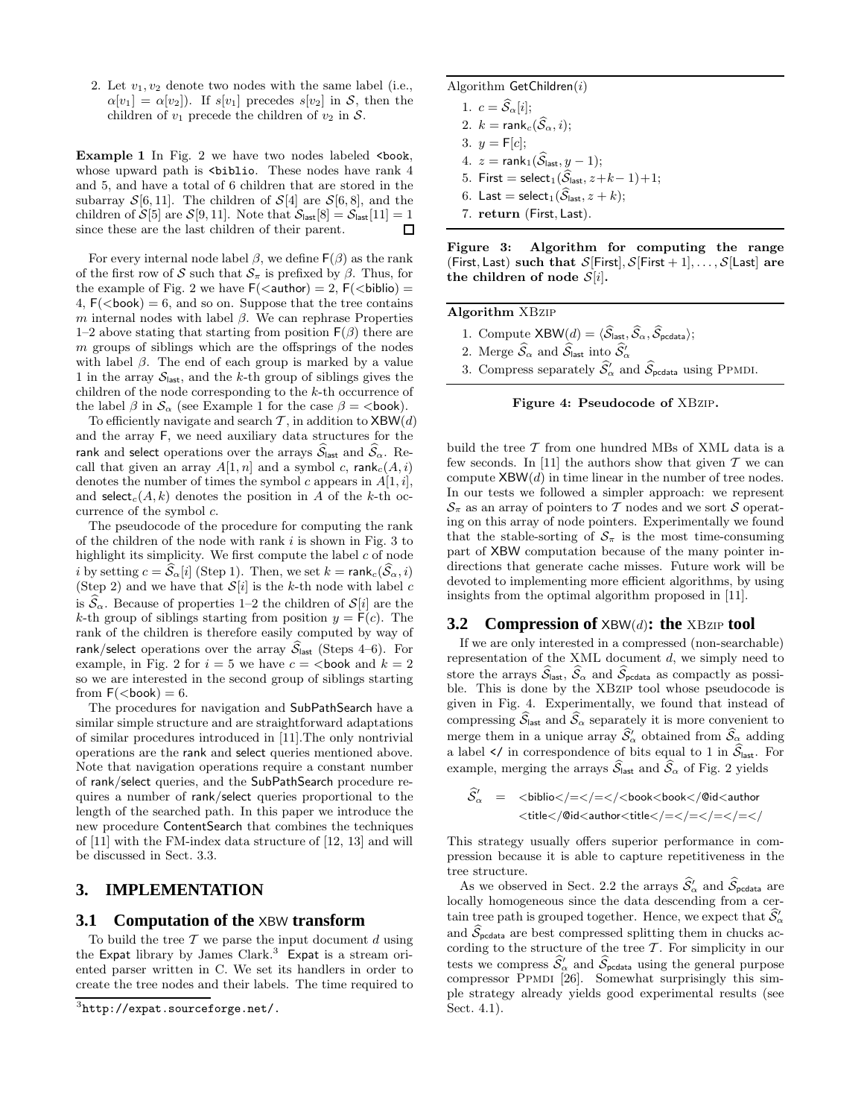2. Let  $v_1, v_2$  denote two nodes with the same label (i.e.,  $\alpha[v_1] = \alpha[v_2]$ . If  $s[v_1]$  precedes  $s[v_2]$  in S, then the children of  $v_1$  precede the children of  $v_2$  in  $S$ .

Example 1 In Fig. 2 we have two nodes labeled <br/>book, whose upward path is <br/> <br/>biblio. These nodes have rank 4 and 5, and have a total of 6 children that are stored in the subarray  $S[6, 11]$ . The children of  $S[4]$  are  $S[6, 8]$ , and the children of  $\mathcal{S}[5]$  are  $\mathcal{S}[9, 11]$ . Note that  $\mathcal{S}_{\text{last}}[8] = \mathcal{S}_{\text{last}}[11] = 1$ since these are the last children of their parent. □

For every internal node label  $\beta$ , we define  $\mathsf{F}(\beta)$  as the rank of the first row of S such that  $S_\pi$  is prefixed by  $\beta$ . Thus, for the example of Fig. 2 we have  $F(\text{,  $F(\text{$$ 4,  $F(\text{, and so on. Suppose that the tree contains$ m internal nodes with label  $\beta$ . We can rephrase Properties 1–2 above stating that starting from position  $F(\beta)$  there are  $m$  groups of siblings which are the offsprings of the nodes with label  $\beta$ . The end of each group is marked by a value 1 in the array  $S<sub>last</sub>$ , and the k-th group of siblings gives the children of the node corresponding to the k-th occurrence of the label  $\beta$  in  $\mathcal{S}_{\alpha}$  (see Example 1 for the case  $\beta =$  <br/>  $\lt$  book).

To efficiently navigate and search  $\mathcal{T}$ , in addition to  $\mathsf{XBW}(d)$ and the array F, we need auxiliary data structures for the rank and select operations over the arrays  $\widehat{S}_{\text{last}}$  and  $\widehat{S}_{\alpha}$ . Recall that given an array  $A[1, n]$  and a symbol c, rank $c(A, i)$ denotes the number of times the symbol c appears in  $A[1, i]$ , and select<sub>c</sub> $(A, k)$  denotes the position in A of the k-th occurrence of the symbol c.

The pseudocode of the procedure for computing the rank of the children of the node with rank  $i$  is shown in Fig. 3 to highlight its simplicity. We first compute the label  $c$  of node i by setting  $c = \widehat{\mathcal{S}}_{\alpha}[i]$  (Step 1). Then, we set  $k = \text{rank}_c(\widehat{\mathcal{S}}_{\alpha}, i)$ (Step 2) and we have that  $S[i]$  is the k-th node with label c is  $\widehat{S}_{\alpha}$ . Because of properties 1–2 the children of  $\mathcal{S}[i]$  are the k-th group of siblings starting from position  $y = F(c)$ . The rank of the children is therefore easily computed by way of rank/select operations over the array  $S_{\text{last}}$  (Steps 4–6). For example, in Fig. 2 for  $i = 5$  we have  $c = \text{\textless}$  and  $k = 2$ so we are interested in the second group of siblings starting from  $F(<sub>book</sub>) = 6$ .

The procedures for navigation and SubPathSearch have a similar simple structure and are straightforward adaptations of similar procedures introduced in [11].The only nontrivial operations are the rank and select queries mentioned above. Note that navigation operations require a constant number of rank/select queries, and the SubPathSearch procedure requires a number of rank/select queries proportional to the length of the searched path. In this paper we introduce the new procedure ContentSearch that combines the techniques of [11] with the FM-index data structure of [12, 13] and will be discussed in Sect. 3.3.

### **3. IMPLEMENTATION**

#### **3.1 Computation of the** XBW **transform**

To build the tree  $\mathcal T$  we parse the input document  $d$  using the Expat library by James Clark.<sup>3</sup> Expat is a stream oriented parser written in C. We set its handlers in order to create the tree nodes and their labels. The time required to

Algorithm  $\mathsf{GetChildren}(i)$ 

1.  $c = \widehat{\mathcal{S}}_{\alpha}[i];$ 2.  $k = \text{rank}_c(\widehat{S}_\alpha, i);$ 3.  $y = F[c]$ ; 4.  $z = \text{rank}_1(\widehat{S}_{\text{last}}, y - 1);$ 5. First = select<sub>1</sub>( $\widehat{S}_{\text{last}}$ ,  $z+k-1$ )+1; 6. Last = select<sub>1</sub>  $(\widehat{S}_{\text{last}}, z + k);$ 7. return (First, Last).

Figure 3: Algorithm for computing the range (First, Last) such that  $S$ [First],  $S$ [First + 1], ...,  $S$ [Last] are the children of node  $S[i]$ .

Algorithm XBzip

- 1. Compute  $\mathsf{XBW}(d) = \langle \widehat{\mathcal{S}}_{\mathsf{last}}, \widehat{\mathcal{S}}_{\alpha}, \widehat{\mathcal{S}}_{\mathsf{pcdata}} \rangle;$
- 2. Merge  $\widehat{\mathcal{S}}_{\alpha}$  and  $\widehat{\mathcal{S}}_{\mathsf{last}}$  into  $\widehat{\mathcal{S}}'_{\alpha}$
- 3. Compress separately  $\widehat{S}'_{\alpha}$  and  $\widehat{S}_{\text{pcdata}}$  using PPMDI.

#### Figure 4: Pseudocode of XBzip.

build the tree  $\mathcal T$  from one hundred MBs of XML data is a few seconds. In [11] the authors show that given  $T$  we can compute  $XBW(d)$  in time linear in the number of tree nodes. In our tests we followed a simpler approach: we represent  $\mathcal{S}_{\pi}$  as an array of pointers to T nodes and we sort S operating on this array of node pointers. Experimentally we found that the stable-sorting of  $S_{\pi}$  is the most time-consuming part of XBW computation because of the many pointer indirections that generate cache misses. Future work will be devoted to implementing more efficient algorithms, by using insights from the optimal algorithm proposed in [11].

#### **3.2 Compression of** XBW(d)**: the** XBzip **tool**

If we are only interested in a compressed (non-searchable) representation of the XML document d, we simply need to store the arrays  $\widehat{S}_{\text{last}}, \widehat{S}_{\alpha}$  and  $\widehat{S}_{\text{pcdata}}$  as compactly as possible. This is done by the XBzip tool whose pseudocode is given in Fig. 4. Experimentally, we found that instead of compressing  $\widehat{S}_{\text{last}}$  and  $\widehat{S}_{\alpha}$  separately it is more convenient to merge them in a unique array  $\hat{S}_{\alpha}^{\prime}$  obtained from  $\hat{S}_{\alpha}$  adding a label </ in correspondence of bits equal to 1 in  $\hat{\vec{S}}_{\text{last}}$ . For example, merging the arrays  $\widehat{S}_{\text{last}}$  and  $\widehat{S}_{\alpha}$  of Fig. 2 yields

$$
\widehat{S}'_{\alpha} = \langle \text{biblio} \rangle \langle = \langle \text{--} \rangle \langle \text{--} \rangle \langle \text{--} \rangle \langle \text{--} \rangle \langle \text{--} \rangle \langle \text{--} \rangle \langle \text{--} \rangle \langle \text{--} \rangle \langle \text{--} \rangle \langle = \langle \text{--} \rangle \langle \text{--} \rangle \langle \text{--} \rangle \langle \text{--} \rangle \langle \text{--} \rangle \langle \text{--} \rangle \langle \text{--} \rangle \langle \text{--} \rangle \langle \text{--} \rangle \langle \text{--} \rangle \langle \text{--} \rangle \langle \text{--} \rangle \langle \text{--} \rangle \langle \text{--} \rangle \langle \text{--} \rangle \langle \text{--} \rangle \langle \text{--} \rangle \langle \text{--} \rangle \langle \text{--} \rangle \langle \text{--} \rangle \langle \text{--} \rangle \langle \text{--} \rangle \langle \text{--} \rangle \langle \text{--} \rangle \langle \text{--} \rangle \langle \text{--} \rangle \langle \text{--} \rangle \langle \text{--} \rangle \langle \text{--} \rangle \langle \text{--} \rangle \langle \text{--} \rangle \langle \text{--} \rangle \langle \text{--} \rangle \langle \text{--} \rangle \langle \text{--} \rangle \langle \text{--} \rangle \langle \text{--} \rangle \langle \text{--} \rangle \langle \text{--} \rangle \langle \text{--} \rangle \langle \text{--} \rangle \langle \text{--} \rangle \langle \text{--} \rangle \langle \text{--} \rangle \langle \text{--} \rangle \langle \text{--} \rangle \langle \text{--} \rangle \langle \text{--} \rangle \langle \text{--} \rangle \langle \text{--} \rangle \langle \text{--} \rangle \langle \text{--} \rangle \langle \text{--} \rangle \langle \text{--} \rangle \langle \text{--} \rangle \langle \text{--} \rangle \langle \text{--} \rangle \langle \text{--} \rangle \langle \text{--} \rangle \langle \text{--} \rangle \langle \text{--} \rangle \langle \text{--} \rangle \langle \text{--} \rangle \langle \text{--} \rangle \langle \text{--} \rangle \langle \text{--} \rangle \langle \text{--} \rangle \langle \text{--} \rangle \langle \text{--} \rangle \langle \text{--} \rangle \langle \text{--} \rangle \langle \text{--} \rangle \langle \text
$$

This strategy usually offers superior performance in compression because it is able to capture repetitiveness in the tree structure.

As we observed in Sect. 2.2 the arrays  $\widehat{S}'_{\alpha}$  and  $\widehat{S}_{\text{pcdata}}$  are locally homogeneous since the data descending from a certain tree path is grouped together. Hence, we expect that  $\widehat{S}'_{\alpha}$ and  $\widehat{S}_{\text{pcdata}}$  are best compressed splitting them in chucks according to the structure of the tree  $\mathcal T$ . For simplicity in our tests we compress  $\widehat{S}_{\alpha}^{\prime}$  and  $\widehat{S}_{\text{pcdata}}$  using the general purpose compressor PPMDI [26]. Somewhat surprisingly this simple strategy already yields good experimental results (see Sect. 4.1).

 ${}^{3}$ http://expat.sourceforge.net/.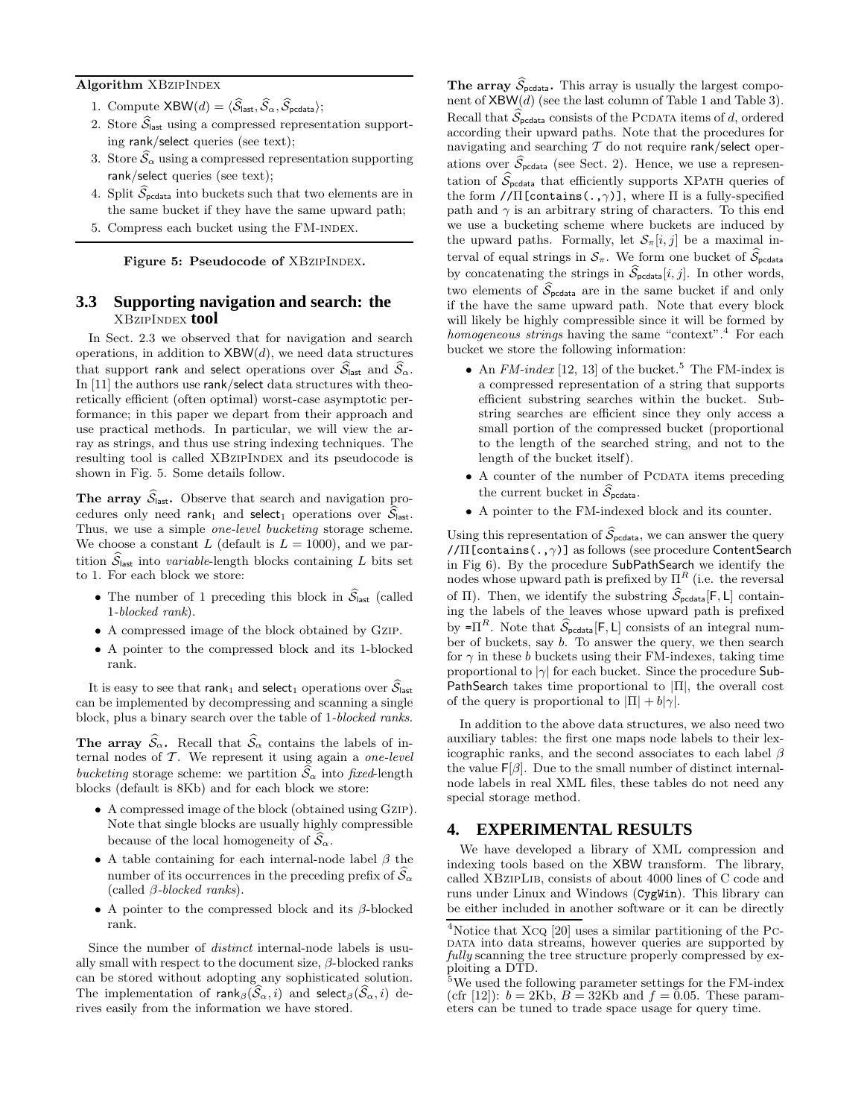Algorithm XBzIPINDEX

- 1. Compute  $\mathsf{XBW}(d) = \langle \widehat{\mathcal{S}}_{\mathsf{last}}, \widehat{\mathcal{S}}_{\alpha}, \widehat{\mathcal{S}}_{\mathsf{pcdata}} \rangle;$
- 2. Store  $\widehat{S}_{\text{last}}$  using a compressed representation supporting rank/select queries (see text);
- 3. Store  $\widehat{\mathcal{S}}_{\alpha}$  using a compressed representation supporting rank/select queries (see text);
- 4. Split  $\widehat{S}_{\text{pcdata}}$  into buckets such that two elements are in the same bucket if they have the same upward path;
- 5. Compress each bucket using the FM-INDEX.

Figure 5: Pseudocode of XBZIPINDEX.

## **3.3 Supporting navigation and search: the** XBzipIndex **tool**

In Sect. 2.3 we observed that for navigation and search operations, in addition to  $XBW(d)$ , we need data structures that support rank and select operations over  $\widehat{S}_{\text{last}}$  and  $\widehat{S}_{\alpha}$ . In [11] the authors use rank/select data structures with theoretically efficient (often optimal) worst-case asymptotic performance; in this paper we depart from their approach and use practical methods. In particular, we will view the array as strings, and thus use string indexing techniques. The resulting tool is called XBzIPINDEX and its pseudocode is shown in Fig. 5. Some details follow.

**The array**  $\widehat{S}_{\text{last}}$ . Observe that search and navigation procedures only need rank<sub>1</sub> and select<sub>1</sub> operations over  $\widehat{S}_{\text{last}}$ . Thus, we use a simple one-level bucketing storage scheme. We choose a constant L (default is  $L = 1000$ ), and we partition  $\hat{S}_{\text{last}}$  into variable-length blocks containing L bits set to 1. For each block we store:

- The number of 1 preceding this block in  $\widehat{S}_{\text{last}}$  (called 1-blocked rank).
- A compressed image of the block obtained by Gzip.
- A pointer to the compressed block and its 1-blocked rank.

It is easy to see that rank<sub>1</sub> and select<sub>1</sub> operations over  $S<sub>last</sub>$ can be implemented by decompressing and scanning a single block, plus a binary search over the table of 1-blocked ranks.

The array  $\widehat{S}_{\alpha}$ . Recall that  $\widehat{S}_{\alpha}$  contains the labels of internal nodes of  $T$ . We represent it using again a *one-level* bucketing storage scheme: we partition  $\mathcal{S}_{\alpha}$  into fixed-length blocks (default is 8Kb) and for each block we store:

- A compressed image of the block (obtained using Gzip). Note that single blocks are usually highly compressible because of the local homogeneity of  $\widehat{S}_\alpha$ .
- A table containing for each internal-node label  $\beta$  the number of its occurrences in the preceding prefix of  $\widehat{S}_{\alpha}$ (called  $\beta$ -blocked ranks).
- A pointer to the compressed block and its  $\beta$ -blocked rank.

Since the number of distinct internal-node labels is usually small with respect to the document size,  $\beta$ -blocked ranks can be stored without adopting any sophisticated solution. The implementation of rank<sub>β</sub>( $\widehat{S}_{\alpha}$ , i) and select<sub>β</sub>( $\widehat{S}_{\alpha}$ , i) derives easily from the information we have stored.

**The array**  $\widehat{S}_{\text{pcdata}}$ . This array is usually the largest component of  $XBW(d)$  (see the last column of Table 1 and Table 3). Recall that  $\widehat{S}_{\text{pcdata}}$  consists of the PCDATA items of d, ordered according their upward paths. Note that the procedures for navigating and searching  $T$  do not require rank/select operations over  $\widehat{S}_{\text{pcdata}}$  (see Sect. 2). Hence, we use a representation of  $\widehat{S}_{\text{pcdata}}$  that efficiently supports XPATH queries of the form  $//\Pi$ [contains(., $\gamma$ )], where  $\Pi$  is a fully-specified path and  $\gamma$  is an arbitrary string of characters. To this end we use a bucketing scheme where buckets are induced by the upward paths. Formally, let  $S_{\pi}[i, j]$  be a maximal interval of equal strings in  $S_{\pi}$ . We form one bucket of  $\widehat{S}_{\text{pcdata}}$ by concatenating the strings in  $\widehat{\mathcal{S}}_{\text{pcdata}}[i,j].$  In other words, two elements of  $\widehat{S}_{\text{pcdata}}$  are in the same bucket if and only if the have the same upward path. Note that every block will likely be highly compressible since it will be formed by homogeneous strings having the same "context".<sup>4</sup> For each bucket we store the following information:

- An  $FM\text{-}index$  [12, 13] of the bucket.<sup>5</sup> The FM-index is a compressed representation of a string that supports efficient substring searches within the bucket. Substring searches are efficient since they only access a small portion of the compressed bucket (proportional to the length of the searched string, and not to the length of the bucket itself).
- A counter of the number of PCDATA items preceding the current bucket in  $\widehat{\mathcal{S}}_{\text{pcdata}}$ .
- A pointer to the FM-indexed block and its counter.

Using this representation of  $\widehat{S}_{\text{pcdata}}$ , we can answer the query //Π[contains(.,γ)] as follows (see procedure ContentSearch in Fig 6). By the procedure SubPathSearch we identify the nodes whose upward path is prefixed by  $\Pi^R$  (i.e. the reversal of Π). Then, we identify the substring  $\widehat{S}_{\text{pcdata}}[F, L]$  containing the labels of the leaves whose upward path is prefixed by = $\Pi^R$ . Note that  $\hat{S}_{\text{pcdata}}[F, L]$  consists of an integral number of buckets, say b. To answer the query, we then search for  $\gamma$  in these b buckets using their FM-indexes, taking time proportional to  $|\gamma|$  for each bucket. Since the procedure Sub-PathSearch takes time proportional to |Π|, the overall cost of the query is proportional to  $|\Pi| + b|\gamma|$ .

In addition to the above data structures, we also need two auxiliary tables: the first one maps node labels to their lexicographic ranks, and the second associates to each label  $\beta$ the value  $F[\beta]$ . Due to the small number of distinct internalnode labels in real XML files, these tables do not need any special storage method.

# **4. EXPERIMENTAL RESULTS**

We have developed a library of XML compression and indexing tools based on the XBW transform. The library, called XBzipLib, consists of about 4000 lines of C code and runs under Linux and Windows (CygWin). This library can be either included in another software or it can be directly

<sup>&</sup>lt;sup>4</sup>Notice that XcQ [20] uses a similar partitioning of the Pc-DATA into data streams, however queries are supported by fully scanning the tree structure properly compressed by ex-

ploiting a DTD.<br><sup>5</sup>We used the following parameter settings for the FM-index (cfr [12]):  $b = 2\text{Kb}$ ,  $B = 32\text{Kb}$  and  $f = 0.05$ . These parameters can be tuned to trade space usage for query time.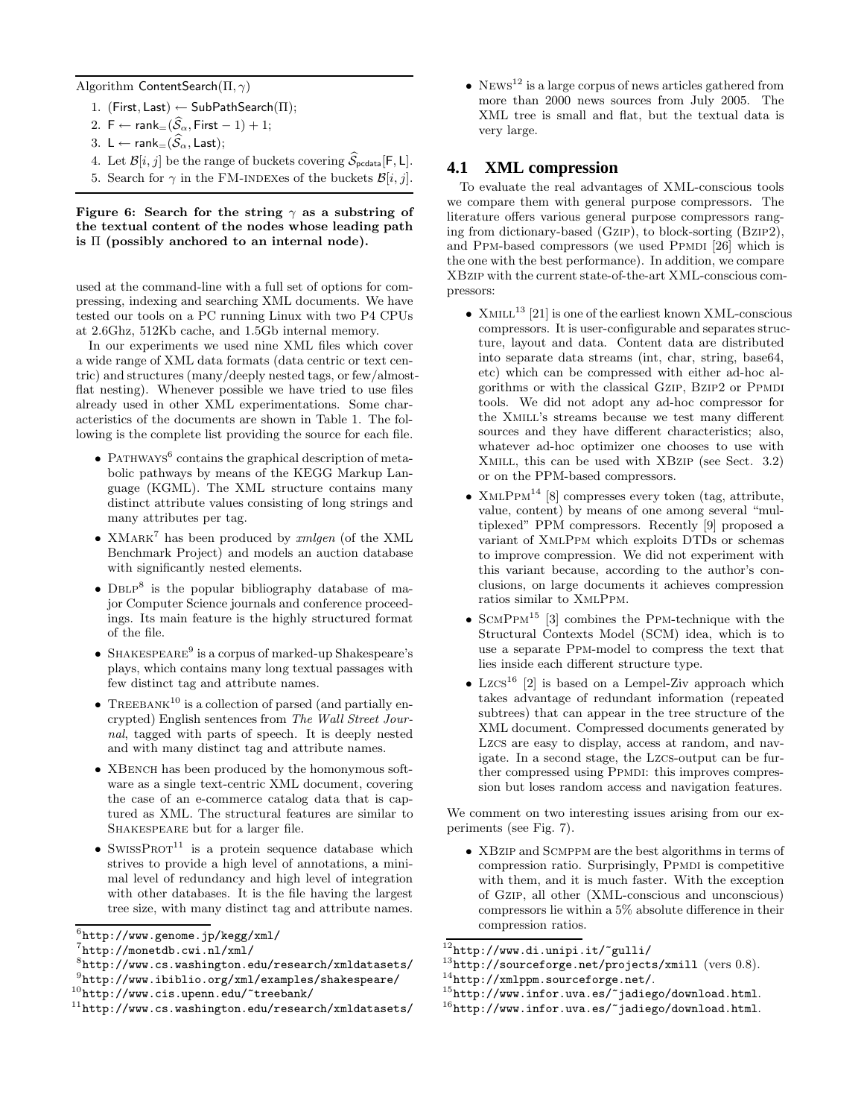Algorithm ContentSearch( $\Pi, \gamma$ )

- 1. (First, Last)  $\leftarrow$  SubPathSearch( $\Pi$ );
- 2. F  $\leftarrow$  rank<sub>=</sub> $(\widehat{S}_{\alpha},$  First 1) + 1;
- 3. L  $\leftarrow$  rank= $(\widehat{\mathcal{S}}_{\alpha}, \textsf{Last});$
- 4. Let  $\mathcal{B}[i, j]$  be the range of buckets covering  $\widehat{\mathcal{S}}_{\text{pcdata}}[F, L]$ .
- 5. Search for  $\gamma$  in the FM-INDEXes of the buckets  $\mathcal{B}[i, j]$ .

Figure 6: Search for the string  $\gamma$  as a substring of the textual content of the nodes whose leading path is Π (possibly anchored to an internal node).

used at the command-line with a full set of options for compressing, indexing and searching XML documents. We have tested our tools on a PC running Linux with two P4 CPUs at 2.6Ghz, 512Kb cache, and 1.5Gb internal memory.

In our experiments we used nine XML files which cover a wide range of XML data formats (data centric or text centric) and structures (many/deeply nested tags, or few/almostflat nesting). Whenever possible we have tried to use files already used in other XML experimentations. Some characteristics of the documents are shown in Table 1. The following is the complete list providing the source for each file.

- PATHWAYS<sup>6</sup> contains the graphical description of metabolic pathways by means of the KEGG Markup Language (KGML). The XML structure contains many distinct attribute values consisting of long strings and many attributes per tag.
- $XMARK<sup>7</sup>$  has been produced by  $xmlgen$  (of the XML Benchmark Project) and models an auction database with significantly nested elements.
- $\bullet$  DBLP<sup>8</sup> is the popular bibliography database of major Computer Science journals and conference proceedings. Its main feature is the highly structured format of the file.
- SHAKESPEARE<sup>9</sup> is a corpus of marked-up Shakespeare's plays, which contains many long textual passages with few distinct tag and attribute names.
- TREEBANK<sup>10</sup> is a collection of parsed (and partially encrypted) English sentences from The Wall Street Journal, tagged with parts of speech. It is deeply nested and with many distinct tag and attribute names.
- XBENCH has been produced by the homonymous software as a single text-centric XML document, covering the case of an e-commerce catalog data that is captured as XML. The structural features are similar to Shakespeare but for a larger file.
- SWISSPROT $^{11}$  is a protein sequence database which strives to provide a high level of annotations, a minimal level of redundancy and high level of integration with other databases. It is the file having the largest tree size, with many distinct tag and attribute names.

• News<sup>12</sup> is a large corpus of news articles gathered from more than 2000 news sources from July 2005. The XML tree is small and flat, but the textual data is very large.

## **4.1 XML compression**

To evaluate the real advantages of XML-conscious tools we compare them with general purpose compressors. The literature offers various general purpose compressors ranging from dictionary-based (Gzip), to block-sorting (Bzip2), and PPM-based compressors (we used PPMDI [26] which is the one with the best performance). In addition, we compare XBzip with the current state-of-the-art XML-conscious compressors:

- XMILL<sup>13</sup> [21] is one of the earliest known XML-conscious compressors. It is user-configurable and separates structure, layout and data. Content data are distributed into separate data streams (int, char, string, base64, etc) which can be compressed with either ad-hoc algorithms or with the classical Gzip, Bzip2 or PpMDI tools. We did not adopt any ad-hoc compressor for the Xmill's streams because we test many different sources and they have different characteristics; also, whatever ad-hoc optimizer one chooses to use with Xmill, this can be used with XBzip (see Sect. 3.2) or on the PPM-based compressors.
- $XMLPPM<sup>14</sup>$  [8] compresses every token (tag, attribute, value, content) by means of one among several "multiplexed" PPM compressors. Recently [9] proposed a variant of XmlPpm which exploits DTDs or schemas to improve compression. We did not experiment with this variant because, according to the author's conclusions, on large documents it achieves compression ratios similar to XmlPpm.
- $SCMPPM$ <sup>15</sup> [3] combines the PPM-technique with the Structural Contexts Model (SCM) idea, which is to use a separate Ppm-model to compress the text that lies inside each different structure type.
- $\bullet$   $\rm LZCS^{\text{16}}$  [2] is based on a Lempel-Ziv approach which takes advantage of redundant information (repeated subtrees) that can appear in the tree structure of the XML document. Compressed documents generated by Lzcs are easy to display, access at random, and navigate. In a second stage, the Lzcs-output can be further compressed using Ppmdi: this improves compression but loses random access and navigation features.

We comment on two interesting issues arising from our experiments (see Fig. 7).

• XBzip and Scmppm are the best algorithms in terms of compression ratio. Surprisingly, PPMDI is competitive with them, and it is much faster. With the exception of Gzip, all other (XML-conscious and unconscious) compressors lie within a 5% absolute difference in their compression ratios.

 $^{12}$ http://www.di.unipi.it/~gulli/

 $^6$ http://www.genome.jp/kegg/xml/

<sup>7</sup> http://monetdb.cwi.nl/xml/

<sup>8</sup> http://www.cs.washington.edu/research/xmldatasets/ 9 http://www.ibiblio.org/xml/examples/shakespeare/

 $^{10}$ http://www.cis.upenn.edu/~treebank/

 $11$ http://www.cs.washington.edu/research/xmldatasets/

<sup>13</sup>http://sourceforge.net/projects/xmill (vers 0.8).

<sup>14</sup>http://xmlppm.sourceforge.net/.

 $^{15}$ http://www.infor.uva.es/~jadiego/download.html.

 $^{16}$ http://www.infor.uva.es/~jadiego/download.html.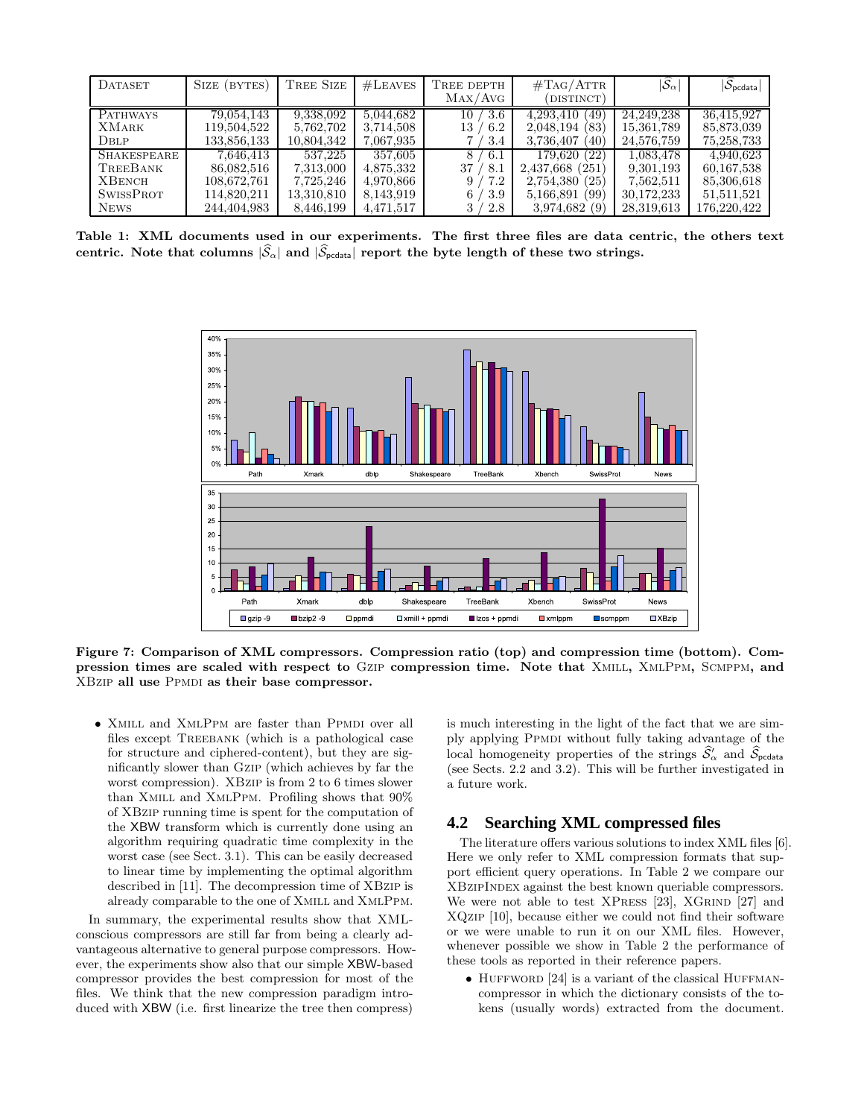| <b>DATASET</b>   | SIZE (BYTES) | <b>TREE SIZE</b> | $\#$ LEAVES | TREE DEPTH<br>MAX/AVG | $\#\text{TAG/ATTR}$<br>DISTINCT) | $ \widehat{\mathcal{S}}_\alpha $ | $ \mathcal{S}_{\texttt{pcdata}} $ |
|------------------|--------------|------------------|-------------|-----------------------|----------------------------------|----------------------------------|-----------------------------------|
|                  |              |                  |             |                       |                                  |                                  |                                   |
| PATHWAYS         | 79.054.143   | 9,338,092        | 5,044,682   | 10<br>3.6             | 49)<br>4.293.410                 | 24.249.238                       | 36.415.927                        |
| <b>XMARK</b>     | 119,504,522  | 5.762.702        | 3.714.508   | 13<br>6.2             | '83)<br>2.048.194                | 15.361.789                       | 85,873,039                        |
| DBLP             | 133,856,133  | 10.804.342       | 7,067,935   | 3.4                   | 3,736,407<br>(40)                | 24,576,759                       | 75,258,733                        |
| SHAKESPEARE      | 7,646,413    | 537.225          | 357.605     | 6.1                   | (22)<br>179.620                  | 1,083,478                        | 4,940,623                         |
| TREEBANK         | 86,082,516   | 7,313,000        | 4,875,332   | 37<br>8.1             | 2,437,668<br>(251)               | 9,301,193                        | 60,167,538                        |
| XBENCH           | 108,672,761  | 7,725,246        | 4,970,866   | 7.2                   | (25)<br>2,754,380                | 7,562,511                        | 85,306,618                        |
| <b>SWISSPROT</b> | 114,820,211  | 13,310,810       | 8,143,919   | 3.9                   | (99)<br>5,166,891                | 30,172,233                       | 51,511,521                        |
| <b>NEWS</b>      | 244,404,983  | 8,446,199        | 4,471,517   | 2.8                   | (9)<br>3,974,682                 | 28,319,613                       | 176,220,422                       |

Table 1: XML documents used in our experiments. The first three files are data centric, the others text centric. Note that columns  $|\hat{\mathcal{S}}_{\alpha}|$  and  $|\hat{\mathcal{S}}_{\text{pdata}}|$  report the byte length of these two strings.



Figure 7: Comparison of XML compressors. Compression ratio (top) and compression time (bottom). Compression times are scaled with respect to GZIP compression time. Note that XMILL, XMLPPM, SCMPPM, and XBzIP all use PPMDI as their base compressor.

• XMILL and XMLPPM are faster than PPMDI over all files except TREEBANK (which is a pathological case for structure and ciphered-content), but they are significantly slower than Gzip (which achieves by far the worst compression). XBz<sub>IP</sub> is from 2 to 6 times slower than Xmill and XmlPpm. Profiling shows that 90% of XBzip running time is spent for the computation of the XBW transform which is currently done using an algorithm requiring quadratic time complexity in the worst case (see Sect. 3.1). This can be easily decreased to linear time by implementing the optimal algorithm described in [11]. The decompression time of XBzip is already comparable to the one of Xmill and XmlPpm.

In summary, the experimental results show that XMLconscious compressors are still far from being a clearly advantageous alternative to general purpose compressors. However, the experiments show also that our simple XBW-based compressor provides the best compression for most of the files. We think that the new compression paradigm introduced with XBW (i.e. first linearize the tree then compress)

is much interesting in the light of the fact that we are simply applying Ppmdi without fully taking advantage of the local homogeneity properties of the strings  $\hat{S}^{\prime}_{\alpha}$  and  $\hat{S}_{\text{pcdata}}$ (see Sects. 2.2 and 3.2). This will be further investigated in a future work.

## **4.2 Searching XML compressed files**

The literature offers various solutions to index XML files [6]. Here we only refer to XML compression formats that support efficient query operations. In Table 2 we compare our XBzipIndex against the best known queriable compressors. We were not able to test XPRESS [23], XGRIND [27] and XQzip [10], because either we could not find their software or we were unable to run it on our XML files. However, whenever possible we show in Table 2 the performance of these tools as reported in their reference papers.

 $\bullet$  HUFFWORD [24] is a variant of the classical HUFFMANcompressor in which the dictionary consists of the tokens (usually words) extracted from the document.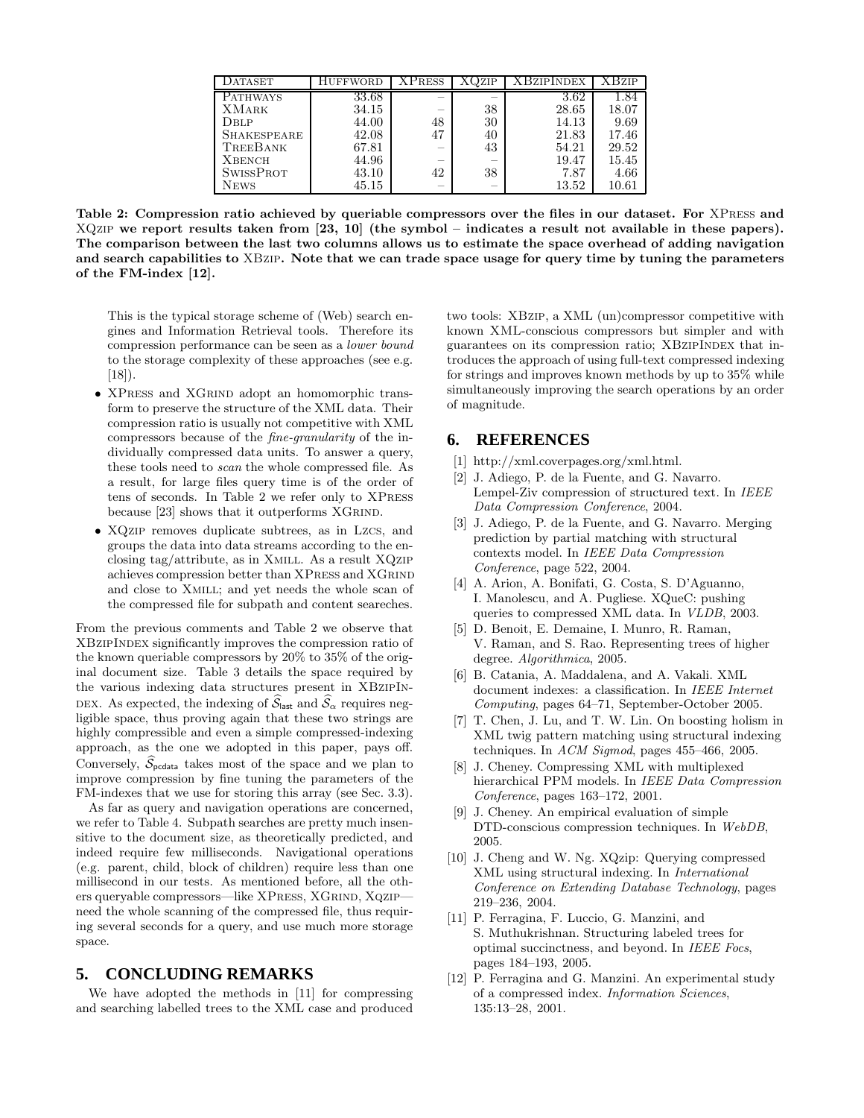| DATASET            | HUFFWORD | XPRESS | XOZIP | <b>BZIP NDEX</b> | X Bzip |
|--------------------|----------|--------|-------|------------------|--------|
| <b>PATHWAYS</b>    | 33.68    |        |       | 3.62             | 1.84   |
| <b>XMARK</b>       | 34.15    |        | 38    | 28.65            | 18.07  |
| <b>D</b> BLP       | 44.00    | 48     | 30    | 14.13            | 9.69   |
| <b>SHAKESPEARE</b> | 42.08    | 47     | 40    | 21.83            | 17.46  |
| TREEBANK           | 67.81    |        | 43    | 54.21            | 29.52  |
| <b>XBENCH</b>      | 44.96    | _      | _     | 19.47            | 15.45  |
| <b>SWISSPROT</b>   | 43.10    | 42     | 38    | 7.87             | 4.66   |
| <b>NEWS</b>        | 45.15    |        | _     | 13.52            | 10.61  |

Table 2: Compression ratio achieved by queriable compressors over the files in our dataset. For XPress and XQzip we report results taken from [23, 10] (the symbol – indicates a result not available in these papers). The comparison between the last two columns allows us to estimate the space overhead of adding navigation and search capabilities to XBzip. Note that we can trade space usage for query time by tuning the parameters of the FM-index [12].

This is the typical storage scheme of (Web) search engines and Information Retrieval tools. Therefore its compression performance can be seen as a lower bound to the storage complexity of these approaches (see e.g.  $[18]$ .

- XPress and XGrind adopt an homomorphic transform to preserve the structure of the XML data. Their compression ratio is usually not competitive with XML compressors because of the fine-granularity of the individually compressed data units. To answer a query, these tools need to scan the whole compressed file. As a result, for large files query time is of the order of tens of seconds. In Table 2 we refer only to XPress because [23] shows that it outperforms XGRIND.
- XQzip removes duplicate subtrees, as in Lzcs, and groups the data into data streams according to the enclosing tag/attribute, as in Xmill. As a result XQzip achieves compression better than XPRESS and XGRIND and close to Xmill; and yet needs the whole scan of the compressed file for subpath and content seareches.

From the previous comments and Table 2 we observe that XBzipIndex significantly improves the compression ratio of the known queriable compressors by 20% to 35% of the original document size. Table 3 details the space required by the various indexing data structures present in XBzipIn-DEX. As expected, the indexing of  $\widehat{S}_{\text{last}}$  and  $\widehat{S}_{\alpha}$  requires negligible space, thus proving again that these two strings are highly compressible and even a simple compressed-indexing approach, as the one we adopted in this paper, pays off. Conversely,  $\widehat{S}_{\text{pcdata}}$  takes most of the space and we plan to improve compression by fine tuning the parameters of the FM-indexes that we use for storing this array (see Sec. 3.3).

As far as query and navigation operations are concerned, we refer to Table 4. Subpath searches are pretty much insensitive to the document size, as theoretically predicted, and indeed require few milliseconds. Navigational operations (e.g. parent, child, block of children) require less than one millisecond in our tests. As mentioned before, all the others queryable compressors—like XPRESS, XGRIND, XQZIP need the whole scanning of the compressed file, thus requiring several seconds for a query, and use much more storage space.

## **5. CONCLUDING REMARKS**

We have adopted the methods in [11] for compressing and searching labelled trees to the XML case and produced

two tools: XBzip, a XML (un)compressor competitive with known XML-conscious compressors but simpler and with guarantees on its compression ratio; XBzIPINDEX that introduces the approach of using full-text compressed indexing for strings and improves known methods by up to 35% while simultaneously improving the search operations by an order of magnitude.

# **6. REFERENCES**

- [1] http://xml.coverpages.org/xml.html.
- [2] J. Adiego, P. de la Fuente, and G. Navarro. Lempel-Ziv compression of structured text. In IEEE Data Compression Conference, 2004.
- [3] J. Adiego, P. de la Fuente, and G. Navarro. Merging prediction by partial matching with structural contexts model. In IEEE Data Compression Conference, page 522, 2004.
- [4] A. Arion, A. Bonifati, G. Costa, S. D'Aguanno, I. Manolescu, and A. Pugliese. XQueC: pushing queries to compressed XML data. In VLDB, 2003.
- [5] D. Benoit, E. Demaine, I. Munro, R. Raman, V. Raman, and S. Rao. Representing trees of higher degree. Algorithmica, 2005.
- [6] B. Catania, A. Maddalena, and A. Vakali. XML document indexes: a classification. In IEEE Internet Computing, pages 64–71, September-October 2005.
- [7] T. Chen, J. Lu, and T. W. Lin. On boosting holism in XML twig pattern matching using structural indexing techniques. In ACM Sigmod, pages 455–466, 2005.
- [8] J. Cheney. Compressing XML with multiplexed hierarchical PPM models. In IEEE Data Compression Conference, pages 163–172, 2001.
- [9] J. Cheney. An empirical evaluation of simple DTD-conscious compression techniques. In WebDB, 2005.
- [10] J. Cheng and W. Ng. XQzip: Querying compressed XML using structural indexing. In International Conference on Extending Database Technology, pages 219–236, 2004.
- [11] P. Ferragina, F. Luccio, G. Manzini, and S. Muthukrishnan. Structuring labeled trees for optimal succinctness, and beyond. In IEEE Focs, pages 184–193, 2005.
- [12] P. Ferragina and G. Manzini. An experimental study of a compressed index. Information Sciences, 135:13–28, 2001.